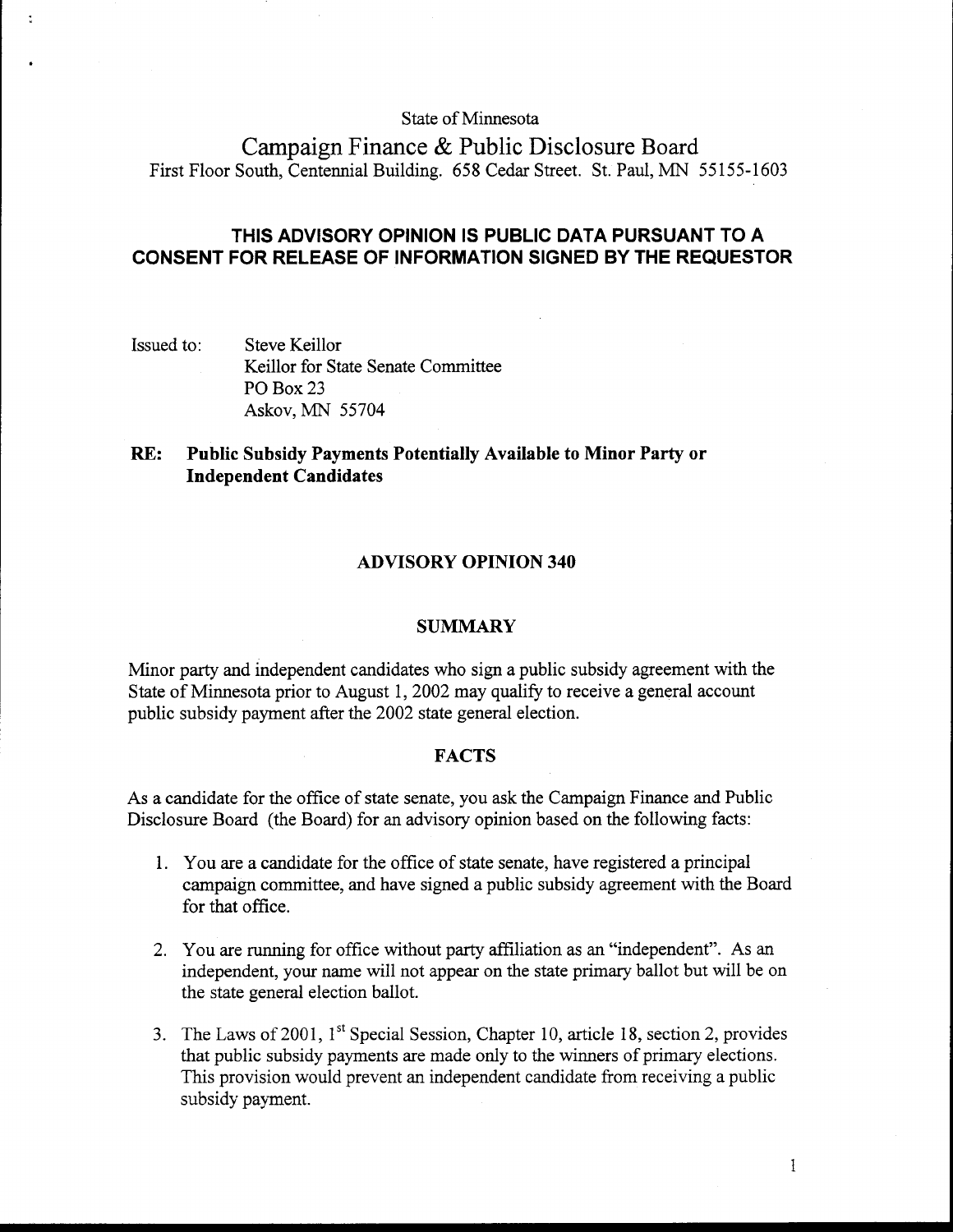State of Minnesota

Campaign Finance & Public Disclosure Board First Floor South, Centennial Building. 658 Cedar Street. St. Paul, MN 55155-1603

# **THIS ADVISORY OPINION IS PUBLIC DATA PURSUANT TO A CONSENT FOR RELEASE OF INFORMATION SIGNED BY THE REQUESTOR**

Issued to: Steve Keillor Keillor for State Senate Committee PO Box 23 Askov, MN 55704

 $\overline{\mathbb{R}}$ 

# **RE: Public Subsidy Payments Potentially Available to Minor Party or Independent Candidates**

## **ADVISORY OPINION 340**

### **SUMMARY**

Minor party and independent candidates who sign a public subsidy agreement with the State of Minnesota prior to August 1,2002 may qualify to receive a general account public subsidy payment after the 2002 state general election.

## **FACTS**

As a candidate for the office of state senate, you ask the Campaign Finance and Public Disclosure Board (the Board) for an advisory opinion based on the following facts:

- 1. You are a candidate for the office of state senate, have registered a principal campaign committee, and have signed a public subsidy agreement with the Board for that office.
- 2. You are running for office without party affiliation as an "independent". As an independent, your name will not appear on the state primary ballot but will be on the state general election ballot.
- 3. The Laws of 2001, 1<sup>st</sup> Special Session, Chapter 10, article 18, section 2, provides that public subsidy payments are made only to the winners of primary elections. This provision would prevent an independent candidate from receiving a public subsidy payment.

 $\mathbf{1}$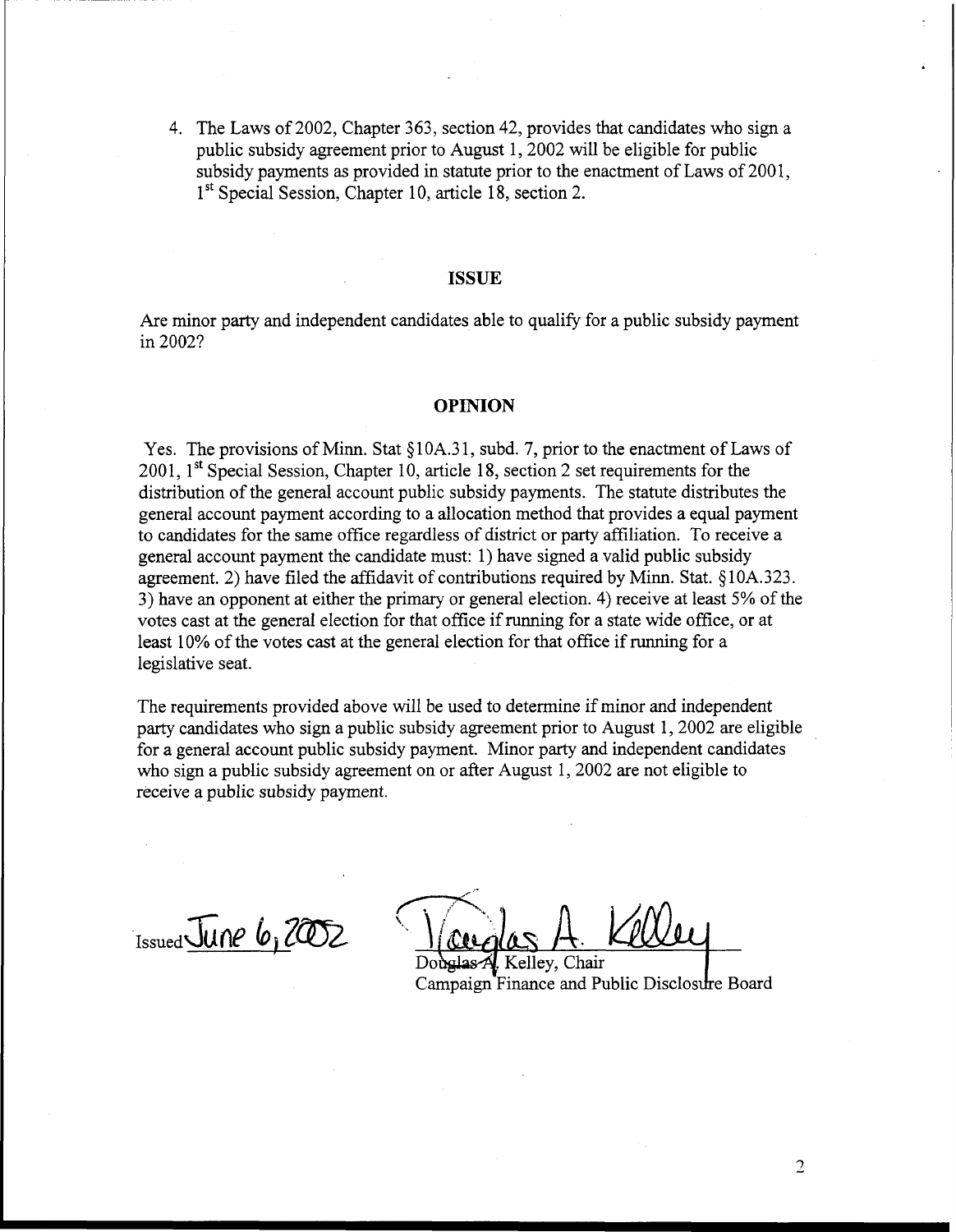4. The Laws of 2002, Chapter 363, section 42, provides that candidates who sign a public subsidy agreement prior to August 1,2002 will be eligible for public subsidy payments as provided in statute prior to the enactment of Laws of 2001,  $1<sup>st</sup>$  Special Session, Chapter 10, article 18, section 2.

### **ISSUE**

Are minor party and independent candidates able to qualify for a public subsidy payment in 2002?

### **OPINION**

Yes. The provisions of Minn. Stat *5* 10A.3 1, subd. 7, prior to the enactment of Laws of 2001,  $1<sup>st</sup>$  Special Session, Chapter 10, article 18, section 2 set requirements for the distribution of the general account public subsidy payments. The statute distributes the general account payment according to a allocation method that provides a equal payment to candidates for the same office regardless of district or party affiliation. To receive a general account payment the candidate must: 1) have signed a valid public subsidy agreement. 2) have filed the affidavit of contributions required by Minn. Stat. *5* 10A.323. 3) have an opponent at either the primary or general election. 4) receive at least 5% of the votes cast at the general election for that office if running for a state wide office, or at least 10% of the votes cast at the general election for that office if running for a legislative seat.

The requirements provided above will be used to determine if minor and independent party candidates who sign a public subsidy agreement prior to August 1,2002 are eligible for a general account public subsidy payment. Minor party and independent candidates who sign a public subsidy agreement on or after August 1, 2002 are not eligible to receive a public subsidy payment.

Issued  $\overline{\text{June 6}}$ ,  $\overline{\text{2052}}$ 

 $\mathcal{L}$ 

Kellev, Chair Campaign Finance and Public Disclosure Board

 $\overline{2}$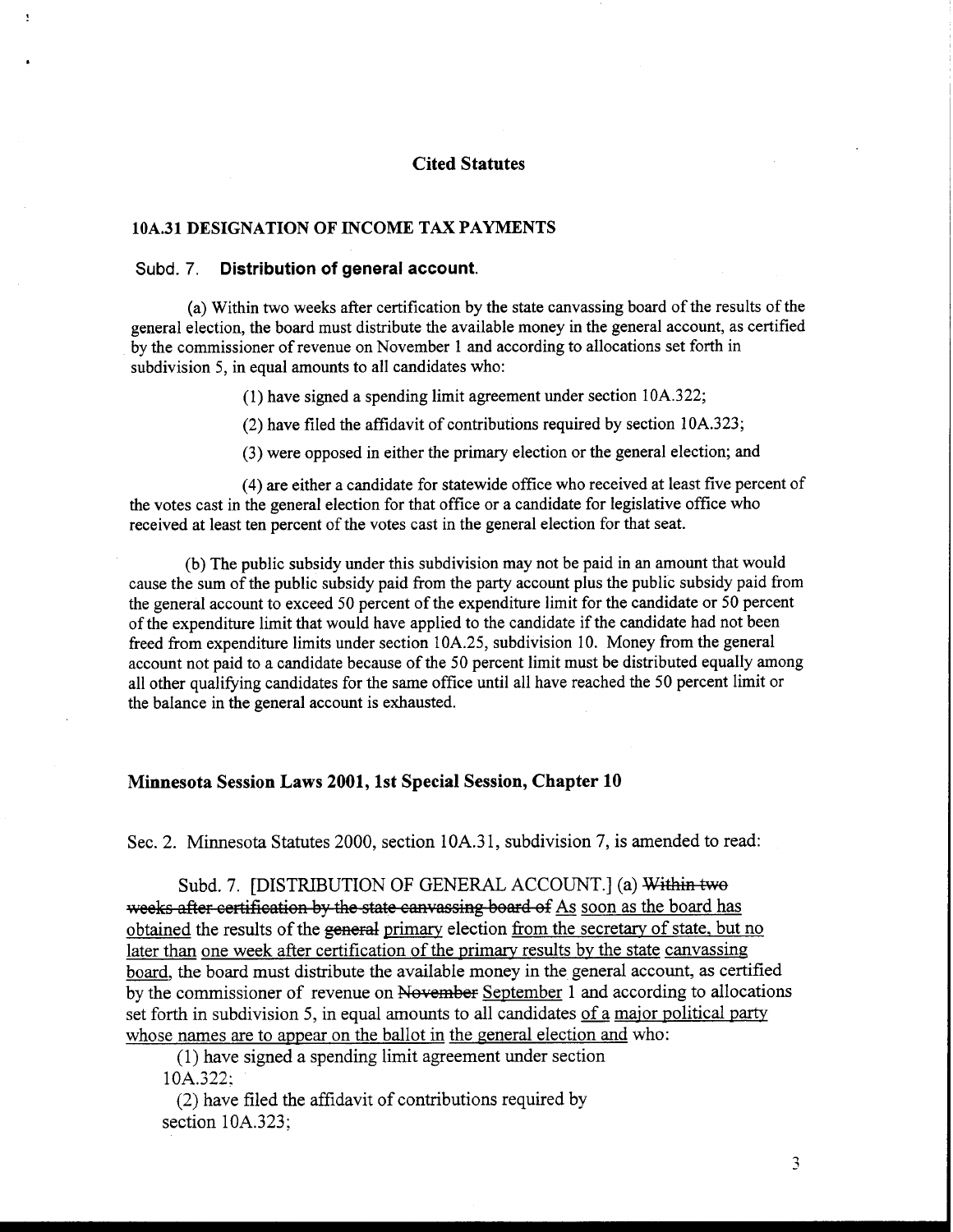# **Cited Statutes**

### **10A.31 DESIGNATION OF INCOME TAX PAYMENTS**

#### Subd. 7. **Distribution of general account.**

(a) Within two weeks after certification by the state canvassing board of the results of the general election, the board must distribute the available money in the general account, as certified by the commissioner of revenue on November 1 and according to allocations set forth in subdivision 5, in equal amounts to all candidates who:

(1) have signed a spending limit agreement under section 10A.322;

(2) have filed the affidavit of contributions required by section 10A.323;

(3) were opposed in either the primary election or the general election; and

(4) are either a candidate for statewide office who received at least five percent of the votes cast in the general election for that office or a candidate for legislative office who received at least ten percent of the votes cast in the general election for that seat.

(b) The public subsidy under this subdivision may not be paid in an amount that would cause the sum of the public subsidy paid from the party account plus the public subsidy paid from the general account to exceed 50 percent of the expenditure limit for the candidate or 50 percent of the expenditure limit that would have applied to the candidate if the candidate had not been freed from expenditure limits under section 10A.25, subdivision 10. Money from the general account not paid to a candidate because of the 50 percent limit must be distributed equally among all other qualifying candidates for the same office until all have reached the 50 percent limit or the balance in the general account is exhausted.

### **Minnesota Session Laws 2001, 1st Special Session, Chapter 10**

Sec. 2. Minnesota Statutes 2000, section 10A.3 1, subdivision 7, is amended to read:

Subd. 7. [DISTRIBUTION OF GENERAL ACCOUNT.] (a) Within two weeks after certification by the state canvassing board of As soon as the board has obtained the results of the general primary election from the secretary of state, but no later than one week after certification of the primary results by the state canvassing board, the board must distribute the available money in the general account, as certified by the commissioner of revenue on November September 1 and according to allocations set forth in subdivision 5, in equal amounts to all candidates of a major political party whose names are to appear on the ballot in the general election and who:

(1) have signed a spending limit agreement under section 10A.322:

(2) have filed the affidavit of contributions required by section 10A.323;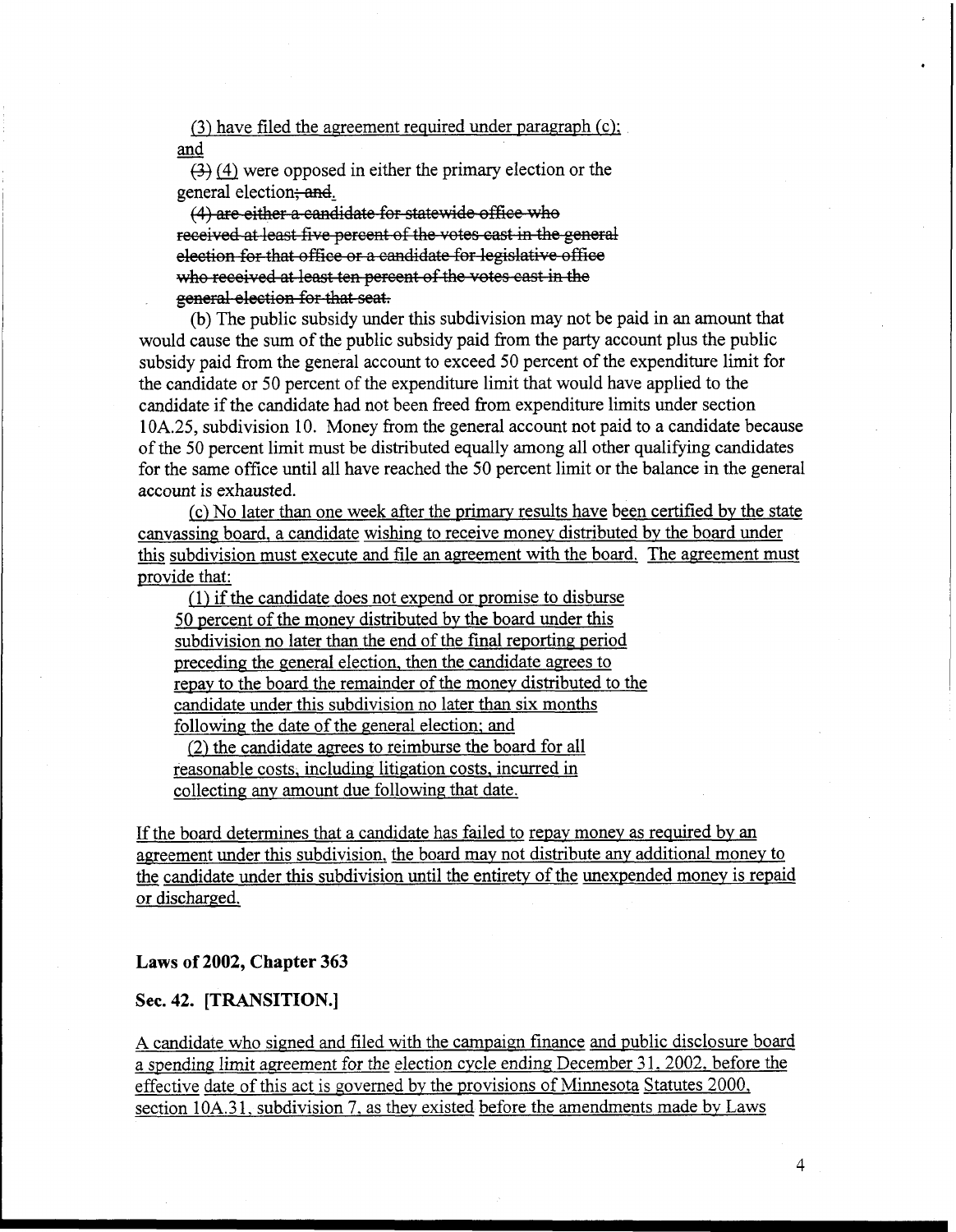(3) have filed the agreement required under paragraph  $(c)$ ; (3) have filed the agreement required under paragraph (c):<br>and  $(3)$  (4) were opposed in either the primary election or the

general election; and.

(4) are either a candidate for statewide office who received at least five percent of the votes cast in the general election for that office or a candidate for legislative office who received at least ten percent of the votes cast in the general election for that seat.

(b) The public subsidy under this subdivision may not be paid in an amount that would cause the sum of the public subsidy paid from the party account plus the public subsidy paid from the general account to exceed 50 percent of the expenditure limit for the candidate or 50 percent of the expenditure limit that would have applied to the candidate if the candidate had not been freed from expenditure limits under section 10A.25, subdivision 10. Money from the general account not paid to a candidate because of the 50 percent limit must be distributed equally among all other qualifying candidates for the same office until all have reached the 50 percent limit or the balance in the general account is exhausted.

fc) No later than one week after the primary results have been certified by the state canvassing board, a candidate wishing to receive money distributed by the board under this subdivision must execute and file an agreement with the board. The agreement must provide that:

(1) if the candidate does not expend or promise to disburse 50 percent of the money distributed by the board under this subdivision no later than the end of the final reporting period preceding the general election, then the candidate agrees to repay to the board the remainder of the money distributed to the candidate under this subdivision no later than six months following the date of the general election; and

**(2)** the candidate agrees to reimburse the board for all reasonable costs, including litigation costs, incurred in collecting any amount due following that date.

If the board determines that a candidate has failed to repay money as required by an agreement under this subdivision, the board may not distribute any additional money to the candidate under this subdivision until the entirety of the unexpended money is repaid or discharged.

### **Laws of 2002, Chapter 363**

## **Sec. 42. [TRANSITION.]**

A candidate who signed and filed with the campaign finance and public disclosure board a spending limit agreement for the election cycle ending December 3 1.2002. before the effective date of this act is governed by the provisions of Minnesota Statutes 2000, section 10A.31, subdivision 7, as they existed before the amendments made by Laws

 $\overline{4}$